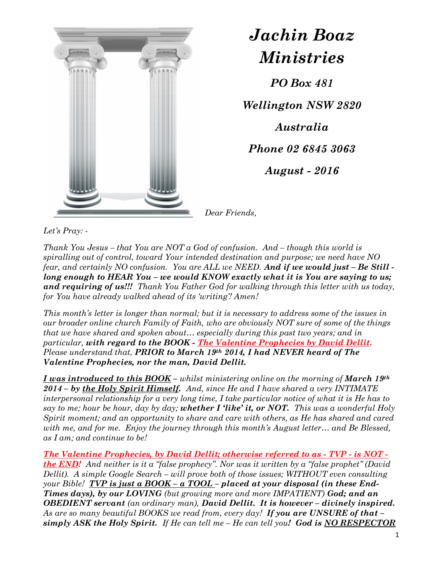

## Jachin Boaz Ministries

PO Box 481

Wellington NSW 2820 Australia Phone 02 6845 3063 August - 2016

Dear Friends,

Let's Pray: -

Thank You Jesus – that You are NOT a God of confusion. And – though this world is spiralling out of control, toward Your intended destination and purpose; we need have NO fear, and certainly NO confusion. You are ALL we NEED. And if we would just - Be Still long enough to HEAR You – we would KNOW exactly what it is You are saying to us; and requiring of us!!! Thank You Father God for walking through this letter with us today, for You have already walked ahead of its 'writing'! Amen!

This month's letter is longer than normal; but it is necessary to address some of the issues in our broader online church Family of Faith, who are obviously NOT sure of some of the things that we have shared and spoken about… especially during this past two years; and in particular, with regard to the BOOK - The Valentine Prophecies by David Dellit. Please understand that, PRIOR to March 19th 2014, I had NEVER heard of The Valentine Prophecies, nor the man, David Dellit.

I was introduced to this  $BOOK$  – whilst ministering online on the morning of March 19<sup>th</sup>  $2014$  – by the Holy Spirit Himself. And, since He and I have shared a very INTIMATE interpersonal relationship for a very long time, I take particular notice of what it is He has to say to me; hour be hour, day by day; whether I 'like' it, or NOT. This was a wonderful Holy Spirit moment; and an opportunity to share and care with others, as He has shared and cared with me, and for me. Enjoy the journey through this month's August letter… and Be Blessed, as I am; and continue to be!

The Valentine Prophecies, by David Dellit; otherwise referred to as - TVP - is NOT **the END!** And neither is it a "false prophecy". Nor was it written by a "false prophet" (David Dellit). A simple Google Search – will prove both of those issues; WITHOUT even consulting your Bible! TVP is just a BOOK – a TOOL – placed at your disposal (in these End-Times days), by our LOVING (but growing more and more IMPATIENT) God; and an OBEDIENT servant (an ordinary man), David Dellit. It is however – divinely inspired. As are so many beautiful BOOKS we read from, every day! If you are UNSURE of that  $$ simply ASK the Holy Spirit. If He can tell me  $-$  He can tell you! God is NO RESPECTOR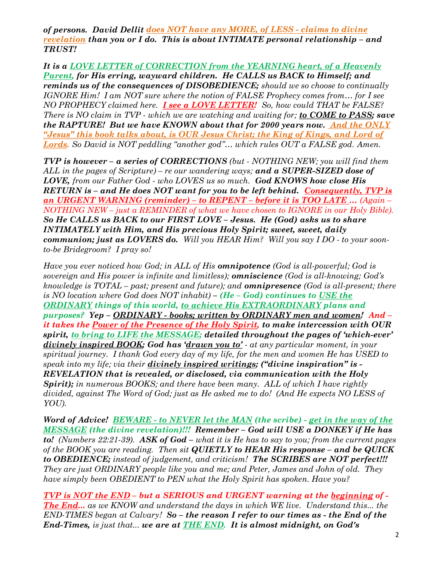of persons. David Dellit does NOT have any MORE, of LESS - claims to divine revelation than you or I do. This is about INTIMATE personal relationship – and TRUST!

It is a LOVE LETTER of CORRECTION from the YEARNING heart, of a Heavenly Parent, for His erring, wayward children. He CALLS us BACK to Himself; and reminds us of the consequences of DISOBEDIENCE; should we so choose to continually IGNORE Him! I am NOT sure where the notion of FALSE Prophecy comes from… for I see NO PROPHECY claimed here. **I see a LOVE LETTER!** So, how could THAT be FALSE? There is NO claim in TVP - which we are watching and waiting for; to COME to PASS; save the RAPTURE! But we have KNOWN about that for 2000 years now. And the ONLY "Jesus" this book talks about, is OUR Jesus Christ; the King of Kings, and Lord of Lords. So David is NOT peddling "another god"… which rules OUT a FALSE god. Amen.

TVP is however – a series of CORRECTIONS (but - NOTHING NEW; you will find them ALL in the pages of Scripture) – re our wandering ways; and a SUPER-SIZED dose of LOVE, from our Father God - who LOVES us so much. God KNOWS how close His RETURN is - and He does NOT want for you to be left behind. Consequently, TVP is an URGENT WARNING (reminder) – to REPENT – before it is TOO LATE … (Again – NOTHING NEW – just a REMINDER of what we have chosen to IGNORE in our Holy Bible). So He CALLS us BACK to our FIRST LOVE – Jesus. He (God) asks us to share INTIMATELY with Him, and His precious Holy Spirit; sweet, sweet, daily communion; just as LOVERS do. Will you HEAR Him? Will you say I DO - to your soonto-be Bridegroom? I pray so!

Have you ever noticed how God; in ALL of His **omnipotence** (God is all-powerful; God is sovereign and His power is infinite and limitless); **omniscience** (God is all-knowing; God's knowledge is  $TOTAL - past$ ; present and future); and **omnipresence** (God is all-present; there is NO location where God does NOT inhabit) – (He – God) continues to USE the ORDINARY things of this world, to achieve His EXTRAORDINARY plans and purposes? Yep – ORDINARY - books; written by ORDINARY men and women! And – it takes the Power of the Presence of the Holy Spirit, to make intercession with OUR spirit, to bring to LIFE the MESSAGE; detailed throughout the pages of 'which-ever' divinely inspired BOOK; God has 'drawn you to' - at any particular moment, in your spiritual journey. I thank God every day of my life, for the men and women He has USED to speak into my life; via their **divinely inspired writings; ("divine inspiration" is**  $\cdot$ REVELATION that is revealed, or disclosed, via communication with the Holy Spirit); in numerous BOOKS; and there have been many. ALL of which I have rightly divided, against The Word of God; just as He asked me to do! (And He expects NO LESS of YOU).

Word of Advice! BEWARE - to NEVER let the MAN (the scribe) - get in the way of the MESSAGE (the divine revelation)!!! Remember – God will USE a DONKEY if He has to! (Numbers 22:21-39). ASK of God – what it is He has to say to you; from the current pages of the BOOK you are reading. Then sit QUIETLY to HEAR His response  $-$  and be QUICK to OBEDIENCE; instead of judgement, and criticism! The SCRIBES are NOT perfect!!! They are just ORDINARY people like you and me; and Peter, James and John of old. They have simply been OBEDIENT to PEN what the Holy Spirit has spoken. Have you?

TVP is NOT the END – but a SERIOUS and URGENT warning at the beginning of - The End... as we KNOW and understand the days in which WE live. Understand this... the  $END$ -TIMES began at Calvary! So – the reason I refer to our times as - the End of the End-Times, is just that... we are at **THE END.** It is almost midnight, on God's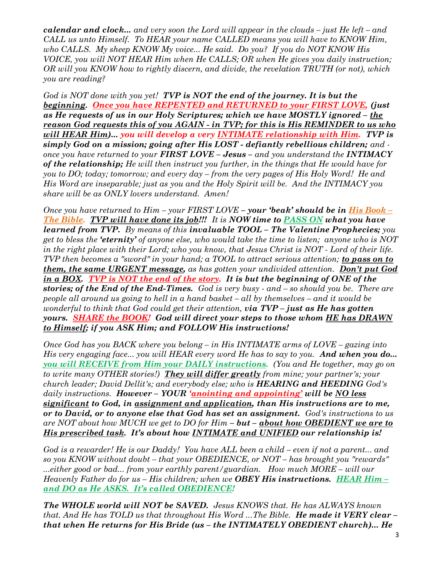calendar and clock... and very soon the Lord will appear in the clouds – just He left – and CALL us unto Himself. To HEAR your name CALLED means you will have to KNOW Him, who CALLS. My sheep KNOW My voice... He said. Do you? If you do NOT KNOW His VOICE, you will NOT HEAR Him when He CALLS; OR when He gives you daily instruction; OR will you KNOW how to rightly discern, and divide, the revelation TRUTH (or not), which you are reading?

God is NOT done with you yet! TVP is NOT the end of the journey. It is but the beginning. Once you have REPENTED and RETURNED to your FIRST LOVE, (just as He requests of us in our Holy Scriptures; which we have MOSTLY ignored  $-\underline{the}$ reason God requests this of you AGAIN - in TVP; for this is His REMINDER to us who will HEAR Him)... you will develop a very INTIMATE relationship with Him. TVP is simply God on a mission; going after His LOST - defiantly rebellious children; and once you have returned to your **FIRST LOVE – Jesus** – and you understand the **INTIMACY** of the relationship; He will then instruct you further, in the things that He would have for you to DO; today; tomorrow; and every day – from the very pages of His Holy Word! He and His Word are inseparable; just as you and the Holy Spirit will be. And the INTIMACY you share will be as ONLY lovers understand. Amen!

Once you have returned to  $\lim_{x\to y}$  - your FIRST LOVE – your 'beak' should be in His Book – The Bible. TVP will have done its job!!! It is NOW time to PASS ON what you have learned from TVP. By means of this invaluable TOOL – The Valentine Prophecies; you get to bless the **'eternity'** of anyone else, who would take the time to listen; anyone who is NOT in the right place with their Lord; who you know, that Jesus Christ is NOT - Lord of their life. TVP then becomes a "sword" in your hand; a TOOL to attract serious attention; to pass on to them, the same URGENT message, as has gotten your undivided attention. Don't put God in a BOX. TVP is NOT the end of the story. It is but the beginning of ONE of the stories; of the End of the End-Times. God is very busy  $\cdot$  and  $\text{-}$  so should you be. There are people all around us going to hell in a hand basket – all by themselves – and it would be wonderful to think that God could get their attention,  $via$   $TVP$  – just as He has gotten yours. SHARE the BOOK! God will direct your steps to those whom HE has DRAWN to Himself; if you ASK Him; and FOLLOW His instructions!

Once God has you BACK where you belong  $-$  in His INTIMATE arms of LOVE – gazing into His very engaging face... you will HEAR every word He has to say to you. And when you do... you will RECEIVE from Him your DAILY instructions. (You and He together, may go on to write many OTHER stories!) They will differ greatly from mine; your partner's; your  $\emph{church leader: David Delhi's: and everybody else: who is **HEARNING and HEEDING** God's$ daily instructions. However - YOUR '*anointing and appointing'* will be NO less significant to God, in assignment and application, than His instructions are to me, or to David, or to anyone else that God has set an assignment. God's instructions to us are NOT about how MUCH we get to DO for Him  $-$  but – about how OBEDIENT we are to His prescribed task. It's about how INTIMATE and UNIFIED our relationship is!

God is a rewarder! He is our Daddy! You have ALL been a child – even if not a parent... and so you KNOW without doubt – that your OBEDIENCE, or NOT – has brought you "rewards" ...either good or bad... from your earthly parent/guardian. How much MORE – will our Heavenly Father do for us – His children; when we **OBEY His instructions.** HEAR Him – and DO as He ASKS. It's called OBEDIENCE!

The WHOLE world will NOT be SAVED. Jesus KNOWS that. He has ALWAYS known that. And He has TOLD us that throughout His Word  $\ldots$  The Bible. He made it VERY clear – that when He returns for His Bride (us – the INTIMATELY OBEDIENT church)... He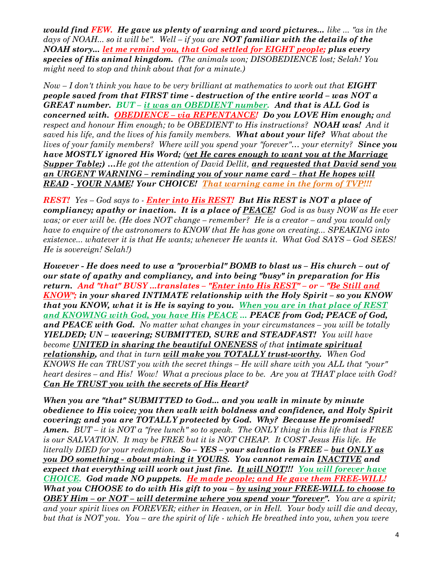would find  $FEW$ . He gave us plenty of warning and word pictures... like  $\ldots$  "as in the days of NOAH... so it will be". Well – if you are **NOT familiar with the details of the** NOAH story... let me remind you, that God settled for EIGHT people; plus every species of His animal kingdom. (The animals won; DISOBEDIENCE lost; Selah! You might need to stop and think about that for a minute.)

 $Now-I don't think you have to be very brilliant at mathematics to work out that **EIGHT**$ people saved from that FIRST time - destruction of the entire world – was NOT a GREAT number. BUT – it was an OBEDIENT number. And that is ALL God is concerned with. **OBEDIENCE** – via REPENTANCE! Do you LOVE Him enough; and respect and honour Him enough; to be OBEDIENT to His instructions? NOAH was! And it saved his life, and the lives of his family members. What about your life? What about the lives of your family members? Where will you spend your "forever"... your eternity? Since you have MOSTLY ignored His Word; (yet He cares enough to want you at the Marriage Supper Table;) …He got the attention of David Dellit, and requested that David send you an URGENT WARNING – reminding you of your name card – that He hopes will READ - YOUR NAME! Your CHOICE! That warning came in the form of TVP!!!

REST! Yes – God says to - Enter into His REST! But His REST is NOT a place of compliancy; apathy or inaction. It is a place of  $\overline{PEACE}$ ! God is as busy NOW as He ever was; or ever will be. (He does NOT change – remember? He is a creator – and you would only have to enquire of the astronomers to KNOW that He has gone on creating... SPEAKING into existence... whatever it is that He wants; whenever He wants it. What God SAYS – God SEES! He is sovereign! Selah!)

However - He does need to use a "proverbial" BOMB to blast us – His church – out of our state of apathy and compliancy, and into being "busy" in preparation for His return. And "that" BUSY ...translates – "Enter into His REST" – or – "Be Still and KNOW"; in your shared INTIMATE relationship with the Holy Spirit – so you KNOW that you KNOW, what it is He is saying to you. When you are in that place of REST and KNOWING with God, you have His PEACE ... PEACE from God; PEACE of God, and PEACE with God. No matter what changes in your circumstances  $-$  you will be totally YIELDED; UN – wavering; SUBMITTED, SURE and STEADFAST! You will have become UNITED in sharing the beautiful ONENESS of that intimate spiritual relationship, and that in turn will make you TOTALLY trust-worthy. When God KNOWS He can TRUST you with the secret things – He will share with you ALL that "your" heart desires – and His! Wow! What a precious place to be. Are you at THAT place with God? Can He TRUST you with the secrets of His Heart?

When you are "that" SUBMITTED to God... and you walk in minute by minute obedience to His voice; you then walk with boldness and confidence, and Holy Spirit covering; and you are TOTALLY protected by God. Why? Because He promised! **Amen.** BUT – it is NOT  $\alpha$  "free lunch" so to speak. The ONLY thing in this life that is FREE is our SALVATION. It may be FREE but it is NOT CHEAP. It COST Jesus His life. He literally DIED for your redemption.  $So - YES$  – your salvation is  $FREE - but ONLY$  as you DO something - about making it YOURS. You cannot remain INACTIVE and expect that everything will work out just fine. It will NOT!!! You will forever have CHOICE. God made NO puppets. He made people; and He gave them FREE-WILL! What you CHOOSE to do with His gift to you  $-$  by using your FREE-WILL to choose to **OBEY Him – or NOT – will determine where you spend your "forever".** You are a spirit; and your spirit lives on FOREVER; either in Heaven, or in Hell. Your body will die and decay, but that is NOT you. You – are the spirit of life - which He breathed into you, when you were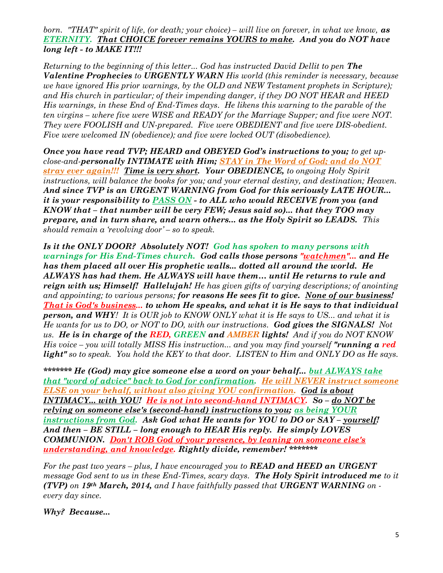born. "THAT" spirit of life, (or death; your choice) – will live on forever, in what we know,  $\mathbf{a}\mathbf{s}$ ETERNITY. That CHOICE forever remains YOURS to make. And you do NOT have long left - to MAKE IT!!!

Returning to the beginning of this letter... God has instructed David Dellit to pen The Valentine Prophecies to URGENTLY WARN His world (this reminder is necessary, because we have ignored His prior warnings, by the OLD and NEW Testament prophets in Scripture); and His church in particular; of their impending danger, if they DO NOT HEAR and HEED His warnings, in these End of End-Times days. He likens this warning to the parable of the ten virgins – where five were WISE and READY for the Marriage Supper; and five were NOT. They were FOOLISH and UN-prepared. Five were OBEDIENT and five were DIS-obedient. Five were welcomed IN (obedience); and five were locked OUT (disobedience).

Once you have read TVP; HEARD and OBEYED God's instructions to you; to get upclose-and-personally INTIMATE with Him; STAY in The Word of God; and do NOT stray ever again!!! Time is very short. Your OBEDIENCE, to ongoing Holy Spirit instructions, will balance the books for you; and your eternal destiny, and destination; Heaven. And since TVP is an URGENT WARNING from God for this seriously LATE HOUR... it is your responsibility to PASS ON - to ALL who would RECEIVE from you (and KNOW that – that number will be very FEW; Jesus said so)... that they TOO may prepare, and in turn share, and warn others... as the Holy Spirit so LEADS. This should remain a 'revolving door' – so to speak.

Is it the ONLY DOOR? Absolutely NOT! God has spoken to many persons with warnings for His End-Times church. God calls those persons "watchmen"... and He has them placed all over His prophetic walls... dotted all around the world. He ALWAYS has had them. He ALWAYS will have them… until He returns to rule and reign with us; Himself! Hallelujah! He has given gifts of varying descriptions; of anointing and appointing; to various persons; for reasons He sees fit to give. None of our business! That is God's business... to whom He speaks, and what it is He says to that individual **person, and WHY!** It is OUR job to KNOW ONLY what it is He says to US... and what it is He wants for us to DO, or NOT to DO, with our instructions. God gives the SIGNALS! Not us. He is in charge of the RED, GREEN and AMBER lights! And if you do NOT KNOW His voice – you will totally MISS His instruction... and you may find yourself "running  $\alpha$  red light" so to speak. You hold the KEY to that door. LISTEN to Him and ONLY DO as He says.

\*\*\*\*\*\*\*\*\* He (God) may give someone else a word on your behalf... but ALWAYS take that "word of advice" back to God for confirmation. He will NEVER instruct someone ELSE on your behalf, without also giving YOU confirmation. God is about INTIMACY... with YOU! He is not into second-hand INTIMACY. So – do NOT be relying on someone else's (second-hand) instructions to you; as being YOUR instructions from God. Ask God what He wants for YOU to DO or SAY - yourself! And then – BE STILL – long enough to HEAR His reply. He simply LOVES COMMUNION. Don't ROB God of your presence, by leaning on someone else's understanding, and knowledge. Rightly divide, remember! \*\*\*\*\*\*\*

For the past two years – plus, I have encouraged you to **READ and HEED an URGENT** message God sent to us in these End-Times, scary days. The Holy Spirit introduced me to it (TVP) on 19th March, 2014, and I have faithfully passed that URGENT WARNING on every day since.

Why? Because...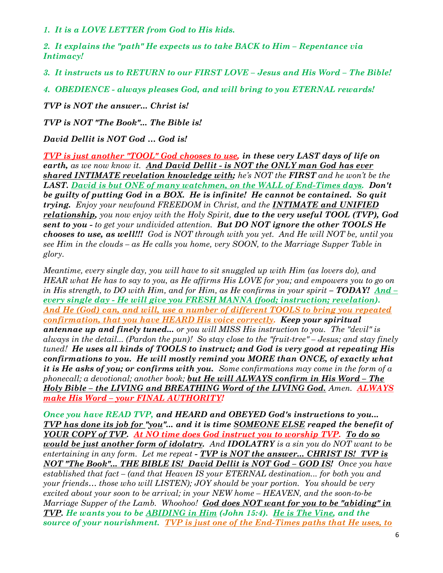1. It is a LOVE LETTER from God to His kids.

2. It explains the "path" He expects us to take BACK to Him – Repentance via Intimacy!

3. It instructs us to RETURN to our FIRST LOVE – Jesus and His Word – The Bible!

4. OBEDIENCE - always pleases God, and will bring to you ETERNAL rewards!

TVP is NOT the answer... Christ is!

TVP is NOT "The Book"... The Bible is!

David Dellit is NOT God … God is!

TVP is just another "TOOL" God chooses to use, in these very LAST days of life on earth, as we now know it. And David Dellit - is NOT the ONLY man God has ever shared INTIMATE revelation knowledge with; he's NOT the FIRST and he won't be the LAST. David is but ONE of many watchmen, on the WALL of End-Times days. Don't be guilty of putting God in a BOX. He is infinite! He cannot be contained. So quit trying. Enjoy your newfound FREEDOM in Christ, and the **INTIMATE** and UNIFIED relationship, you now enjoy with the Holy Spirit, due to the very useful TOOL (TVP), God sent to you - to get your undivided attention. But DO NOT ignore the other TOOLS He chooses to use, as well!!! God is NOT through with you yet. And He will NOT be, until you see Him in the clouds – as He calls you home, very SOON, to the Marriage Supper Table in glory.

Meantime, every single day, you will have to sit snuggled up with Him (as lovers do), and HEAR what He has to say to you, as He affirms His LOVE for you; and empowers you to go on in His strength, to DO with Him, and for Him, as He confirms in your spirit  $-$  TODAY! And  $$ every single day - He will give you FRESH MANNA (food; instruction; revelation). And He (God) can, and will, use a number of different TOOLS to bring you repeated confirmation, that you have HEARD His voice correctly. Keep your spiritual antennae up and finely tuned... or you will MISS His instruction to you. The "devil" is always in the detail... (Pardon the pun)! So stay close to the "fruit-tree" – Jesus; and stay finely tuned! He uses all kinds of TOOLS to instruct; and God is very good at repeating His confirmations to you. He will mostly remind you MORE than ONCE, of exactly what it is He asks of you; or confirms with you. Some confirmations may come in the form of a phonecall; a devotional; another book; but He will ALWAYS confirm in His Word – The Holy Bible - the LIVING and BREATHING Word of the LIVING God. Amen. ALWAYS make His Word – your FINAL AUTHORITY!

Once you have READ TVP, and HEARD and OBEYED God's instructions to you... TVP has done its job for "you"... and it is time SOMEONE ELSE reaped the benefit of YOUR COPY of TVP. At NO time does God instruct you to worship TVP. To do so would be just another form of idolatry. And IDOLATRY is a sin you do NOT want to be entertaining in any form. Let me repeat  $\overline{IVP}$  is NOT the answer... CHRIST IS! TVP is NOT "The Book"... THE BIBLE IS! David Dellit is NOT God – GOD IS! Once you have established that fact – (and that Heaven IS your ETERNAL destination... for both you and your friends… those who will LISTEN); JOY should be your portion. You should be very excited about your soon to be arrival; in your NEW home – HEAVEN, and the soon-to-be Marriage Supper of the Lamb. Whoohoo! God does NOT want for you to be "abiding" in TVP. He wants you to be ABIDING in Him (John 15:4). He is The Vine, and the source of your nourishment. TVP is just one of the End-Times paths that He uses, to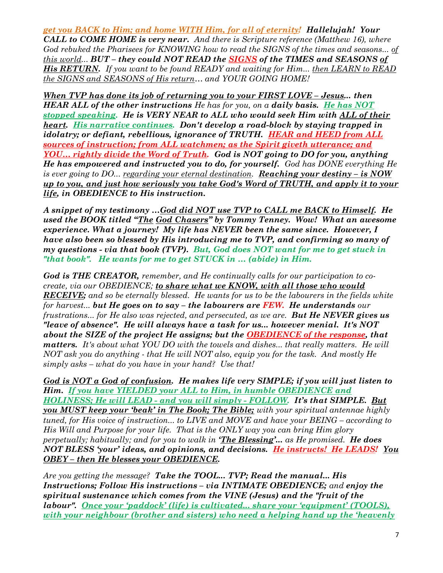get you BACK to Him; and home WITH Him, for all of eternity! Hallelujah! Your CALL to COME HOME is very near. And there is Scripture reference (Matthew 16), where God rebuked the Pharisees for KNOWING how to read the SIGNS of the times and seasons... of this world... BUT – they could NOT READ the SIGNS of the TIMES and SEASONS of His RETURN. If you want to be found READY and waiting for Him... then LEARN to READ the SIGNS and SEASONS of His return… and YOUR GOING HOME!

When TVP has done its job of returning you to your FIRST LOVE - Jesus... then **HEAR ALL of the other instructions** He has for you, on a **daily basis.** He has NOT stopped speaking. He is VERY NEAR to ALL who would seek Him with ALL of their heart. His narrative continues. Don't develop a road-block by staying trapped in idolatry; or defiant, rebellious, ignorance of TRUTH. HEAR and HEED from ALL sources of instruction; from ALL watchmen; as the Spirit giveth utterance; and YOU... rightly divide the Word of Truth. God is NOT going to DO for you, anything He has empowered and instructed you to do, for yourself. God has DONE everything He is ever going to DO... regarding your eternal destination. **Reaching your destiny – is NOW** up to you, and just how seriously you take God's Word of TRUTH, and apply it to your life, in OBEDIENCE to His instruction.

A snippet of my testimony …God did NOT use TVP to CALL me BACK to Himself. He used the BOOK titled "The God Chasers" by Tommy Tenney. Wow! What an awesome experience. What a journey! My life has NEVER been the same since. However, I have also been so blessed by His introducing me to TVP, and confirming so many of my questions - via that book (TVP). But, God does NOT want for me to get stuck in "that book". He wants for me to get STUCK in … (abide) in Him.

God is THE CREATOR, remember, and He continually calls for our participation to cocreate, via our OBEDIENCE; to share what we KNOW, with all those who would **RECEIVE;** and so be eternally blessed. He wants for us to be the labourers in the fields white for harvest... **but He goes on to say – the labourers are FEW. He understands** our frustrations... for He also was rejected, and persecuted, as we are. But He NEVER gives us "leave of absence". He will always have a task for us... however menial. It's NOT about the SIZE of the project He assigns; but the OBEDIENCE of the response, that matters. It's about what YOU DO with the towels and dishes... that really matters. He will NOT ask you do anything - that He will NOT also, equip you for the task. And mostly He simply asks – what do you have in your hand? Use that!

God is NOT a God of confusion. He makes life very SIMPLE; if you will just listen to Him. If you have YIELDED your ALL to Him, in humble OBEDIENCE and HOLINESS; He will LEAD - and you will simply - FOLLOW. It's that SIMPLE. But you MUST keep your *'beak' in The Book; The Bible;* with your spiritual antennae highly tuned, for His voice of instruction... to LIVE and MOVE and have your BEING – according to His Will and Purpose for your life. That is the ONLY way you can bring Him glory perpetually; habitually; and for you to walk in **The Blessing'...** as He promised. **He does** NOT BLESS 'your' ideas, and opinions, and decisions. He instructs! He LEADS! You OBEY – then He blesses your OBEDIENCE.

Are you getting the message? Take the TOOL... TVP; Read the manual... His Instructions; Follow His instructions – via INTIMATE OBEDIENCE; and enjoy the spiritual sustenance which comes from the VINE (Jesus) and the "fruit of the labour". Once your 'paddock' (life) is cultivated... share your 'equipment' (TOOLS), with your neighbour (brother and sisters) who need a helping hand up the 'heavenly